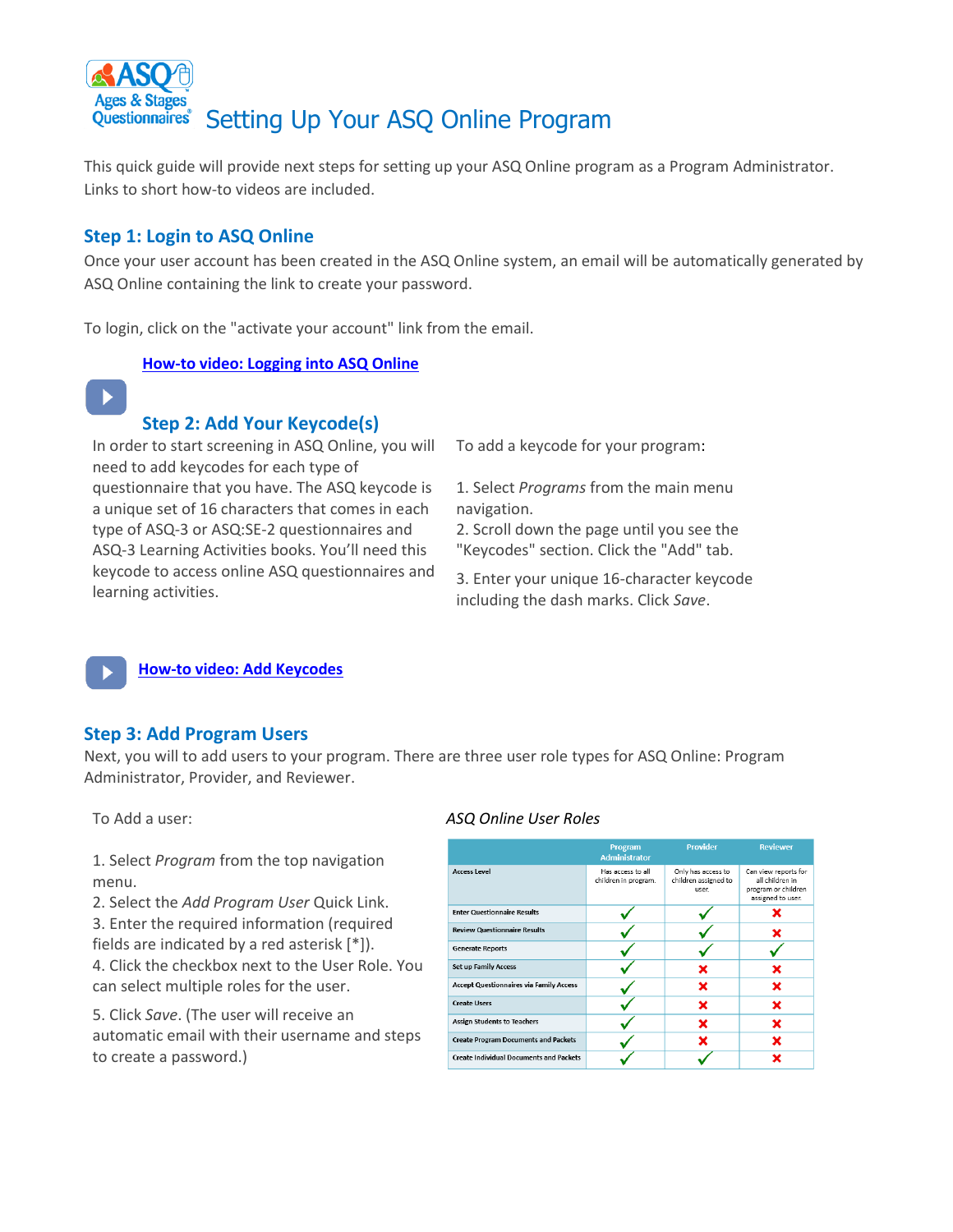

This quick guide will provide next steps for setting up your ASQ Online program as a Program Administrator. Links to short how-to videos are included.

# **Step 1: Login to ASQ Online**

Once your user account has been created in the ASQ Online system, an email will be automatically generated by ASQ Online containing the link to create your password.

To login, click on the "activate your account" link from the email.

### **How-to [video: Logging into ASQ Online](https://content.screencast.com/users/ASQ_Online/folders/KSDE%20How%20to%20Videos/media/b3c74c25-e9d6-4133-b1c4-792b0be46f4e/How%20to%20Login%20to%20ASQ%20Online.mp4)**



## **Step 2: Add Your Keycode(s)**

[In or](https://idandrapidchange.pressbooks.com/chapter/survivalguide/)der to start screening in ASQ Online, you will [need](https://idandrapidchange.pressbooks.com/chapter/survivalguide/) to add keycodes for each type of [que](https://idandrapidchange.pressbooks.com/chapter/survivalguide/)stionnaire that you have. The ASQ keycode is a unique set of 16 characters that comes in each type of ASQ-3 or ASQ:SE-2 questionnaires and ASQ-3 Learning Activities books. You'll need this keycode to access online ASQ questionnaires and learning activities.

To add a keycode for your program:

1. Select *Programs* from the main menu navigation.

2. Scroll down the page until you see the "Keycodes" section. Click the "Add" tab.

3. Enter your unique 16-character keycode including the dash marks. Click *Save*.

**[How-to video: Add Keycodes](https://content.screencast.com/users/ASQ_Online/folders/KSDE%20How%20to%20Videos/media/a3d8ca61-077d-4786-bf56-2b2d65fa5df0/How%20to%20Enter%20Keycodes.mp4)**

### **Step 3: Add Program Users**

[Next,](https://creativecommons.org/licenses/by/3.0/) you will to add users to your program. There are three user role types for ASQ Online: Program [Adm](https://creativecommons.org/licenses/by/3.0/)inistrator, Provider, and Reviewer.

To Add a user:

1. Select *Program* from the top navigation menu.

2. Select the *Add Program User* Quick Link. 3. Enter the required information (required

fields are indicated by a red asterisk [\*]).

4. Click the checkbox next to the User Role. You can select multiple roles for the user.

5. Click *Save*. (The user will receive an automatic email with their username and steps to create a password.)

### *ASQ Online User Roles*

|                                                | Program<br><b>Administrator</b>           | <b>Provider</b>                                     | <b>Reviewer</b>                                                                     |
|------------------------------------------------|-------------------------------------------|-----------------------------------------------------|-------------------------------------------------------------------------------------|
| <b>Access Level</b>                            | Has access to all<br>children in program. | Only has access to<br>children assigned to<br>user. | Can view reports for<br>all children in<br>program or children<br>assigned to user. |
| <b>Enter Questionnaire Results</b>             |                                           |                                                     |                                                                                     |
| <b>Review Questionnaire Results</b>            |                                           |                                                     |                                                                                     |
| <b>Generate Reports</b>                        |                                           |                                                     |                                                                                     |
| <b>Set up Family Access</b>                    |                                           | ×                                                   | x                                                                                   |
| <b>Accept Questionnaires via Family Access</b> |                                           | ×                                                   | ×                                                                                   |
| <b>Create Users</b>                            |                                           | ×                                                   | ×                                                                                   |
| <b>Assign Students to Teachers</b>             |                                           | x                                                   | x                                                                                   |
| <b>Create Program Documents and Packets</b>    |                                           |                                                     | x                                                                                   |
| <b>Create Individual Documents and Packets</b> |                                           |                                                     |                                                                                     |